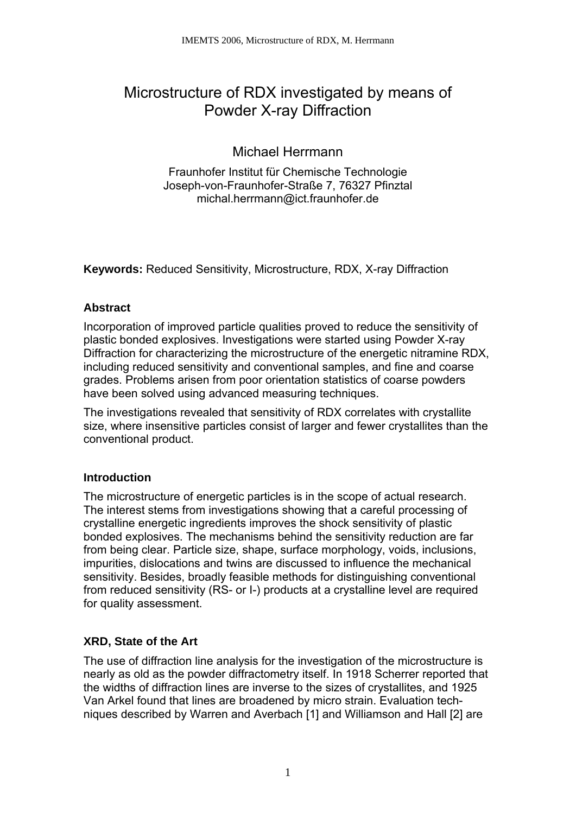# Microstructure of RDX investigated by means of Powder X-ray Diffraction

# Michael Herrmann

Fraunhofer Institut für Chemische Technologie Joseph-von-Fraunhofer-Straße 7, 76327 Pfinztal michal.herrmann@ict.fraunhofer.de

**Keywords:** Reduced Sensitivity, Microstructure, RDX, X-ray Diffraction

# **Abstract**

Incorporation of improved particle qualities proved to reduce the sensitivity of plastic bonded explosives. Investigations were started using Powder X-ray Diffraction for characterizing the microstructure of the energetic nitramine RDX, including reduced sensitivity and conventional samples, and fine and coarse grades. Problems arisen from poor orientation statistics of coarse powders have been solved using advanced measuring techniques.

The investigations revealed that sensitivity of RDX correlates with crystallite size, where insensitive particles consist of larger and fewer crystallites than the conventional product.

# **Introduction**

The microstructure of energetic particles is in the scope of actual research. The interest stems from investigations showing that a careful processing of crystalline energetic ingredients improves the shock sensitivity of plastic bonded explosives. The mechanisms behind the sensitivity reduction are far from being clear. Particle size, shape, surface morphology, voids, inclusions, impurities, dislocations and twins are discussed to influence the mechanical sensitivity. Besides, broadly feasible methods for distinguishing conventional from reduced sensitivity (RS- or I-) products at a crystalline level are required for quality assessment.

# **XRD, State of the Art**

The use of diffraction line analysis for the investigation of the microstructure is nearly as old as the powder diffractometry itself. In 1918 Scherrer reported that the widths of diffraction lines are inverse to the sizes of crystallites, and 1925 Van Arkel found that lines are broadened by micro strain. Evaluation techniques described by Warren and Averbach [1] and Williamson and Hall [2] are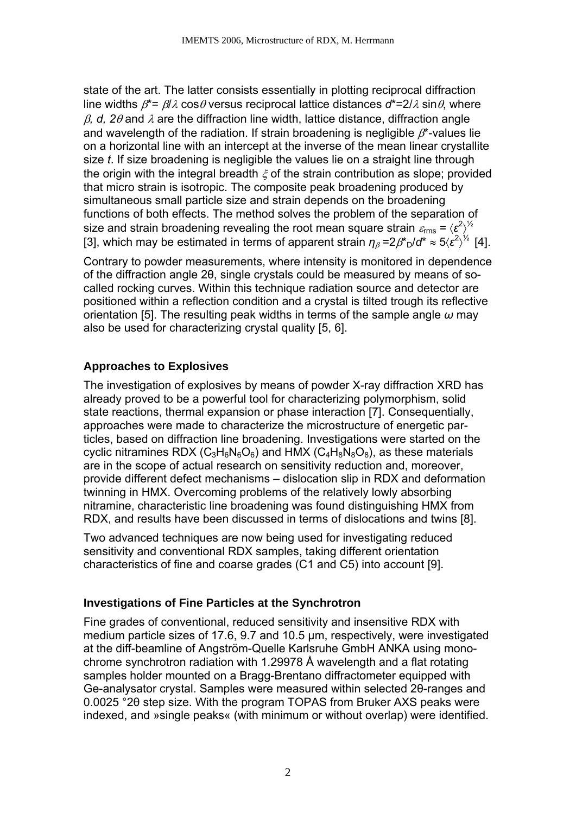state of the art. The latter consists essentially in plotting reciprocal diffraction line widths  $\beta^* = \beta/\lambda \cos \theta$  versus reciprocal lattice distances  $d^* = 2/\lambda \sin \theta$ , where β*, d, 2*θ and λ are the diffraction line width, lattice distance, diffraction angle and wavelength of the radiation. If strain broadening is negligible  $\beta^*$ -values lie on a horizontal line with an intercept at the inverse of the mean linear crystallite size *t*. If size broadening is negligible the values lie on a straight line through the origin with the integral breadth  $\xi$  of the strain contribution as slope; provided that micro strain is isotropic. The composite peak broadening produced by simultaneous small particle size and strain depends on the broadening functions of both effects. The method solves the problem of the separation of size and strain broadening revealing the root mean square strain  $\varepsilon_{\rm rms}$  =  $\langle {\bm \varepsilon}^2 \rangle^{1/2}$ [3], which may be estimated in terms of apparent strain  $\eta_\beta = 2\beta^* \Gamma^2 d^* \approx 5 \langle \varepsilon^2 \rangle^{1/2}$  [4].

Contrary to powder measurements, where intensity is monitored in dependence of the diffraction angle 2θ, single crystals could be measured by means of socalled rocking curves. Within this technique radiation source and detector are positioned within a reflection condition and a crystal is tilted trough its reflective orientation [5]. The resulting peak widths in terms of the sample angle *ω* may also be used for characterizing crystal quality [5, 6].

# **Approaches to Explosives**

The investigation of explosives by means of powder X-ray diffraction XRD has already proved to be a powerful tool for characterizing polymorphism, solid state reactions, thermal expansion or phase interaction [7]. Consequentially, approaches were made to characterize the microstructure of energetic particles, based on diffraction line broadening. Investigations were started on the cyclic nitramines RDX ( $C_3H_6N_6O_6$ ) and HMX ( $C_4H_8N_8O_8$ ), as these materials are in the scope of actual research on sensitivity reduction and, moreover, provide different defect mechanisms – dislocation slip in RDX and deformation twinning in HMX. Overcoming problems of the relatively lowly absorbing nitramine, characteristic line broadening was found distinguishing HMX from RDX, and results have been discussed in terms of dislocations and twins [8].

Two advanced techniques are now being used for investigating reduced sensitivity and conventional RDX samples, taking different orientation characteristics of fine and coarse grades (C1 and C5) into account [9].

#### **Investigations of Fine Particles at the Synchrotron**

Fine grades of conventional, reduced sensitivity and insensitive RDX with medium particle sizes of 17.6, 9.7 and 10.5 µm, respectively, were investigated at the diff-beamline of Angström-Quelle Karlsruhe GmbH ANKA using monochrome synchrotron radiation with 1.29978 Å wavelength and a flat rotating samples holder mounted on a Bragg-Brentano diffractometer equipped with Ge-analysator crystal. Samples were measured within selected 2θ-ranges and 0.0025 °2θ step size. With the program TOPAS from Bruker AXS peaks were indexed, and »single peaks« (with minimum or without overlap) were identified.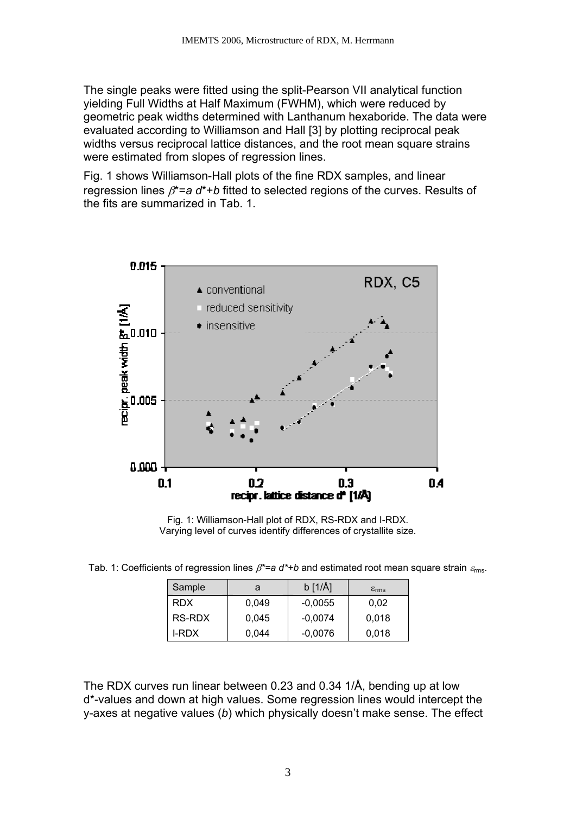The single peaks were fitted using the split-Pearson VII analytical function yielding Full Widths at Half Maximum (FWHM), which were reduced by geometric peak widths determined with Lanthanum hexaboride. The data were evaluated according to Williamson and Hall [3] by plotting reciprocal peak widths versus reciprocal lattice distances, and the root mean square strains were estimated from slopes of regression lines.

Fig. 1 shows Williamson-Hall plots of the fine RDX samples, and linear regression lines β\*=*a d*\*+*b* fitted to selected regions of the curves. Results of the fits are summarized in Tab. 1.



Fig. 1: Williamson-Hall plot of RDX, RS-RDX and I-RDX. Varying level of curves identify differences of crystallite size.

Tab. 1: Coefficients of regression lines  $\beta^* = a \, d^* + b$  and estimated root mean square strain  $\varepsilon_{\text{rms}}$ .

| Sample     | a     | $b$ [1/Å] | $\varepsilon_{\rm rms}$ |  |
|------------|-------|-----------|-------------------------|--|
| <b>RDX</b> | 0.049 | $-0,0055$ | 0,02                    |  |
| RS-RDX     | 0.045 | $-0.0074$ | 0,018                   |  |
| I-RDX      | 0.044 | $-0,0076$ | 0,018                   |  |

The RDX curves run linear between 0.23 and 0.34 1/Å, bending up at low d\*-values and down at high values. Some regression lines would intercept the y-axes at negative values (*b*) which physically doesn't make sense. The effect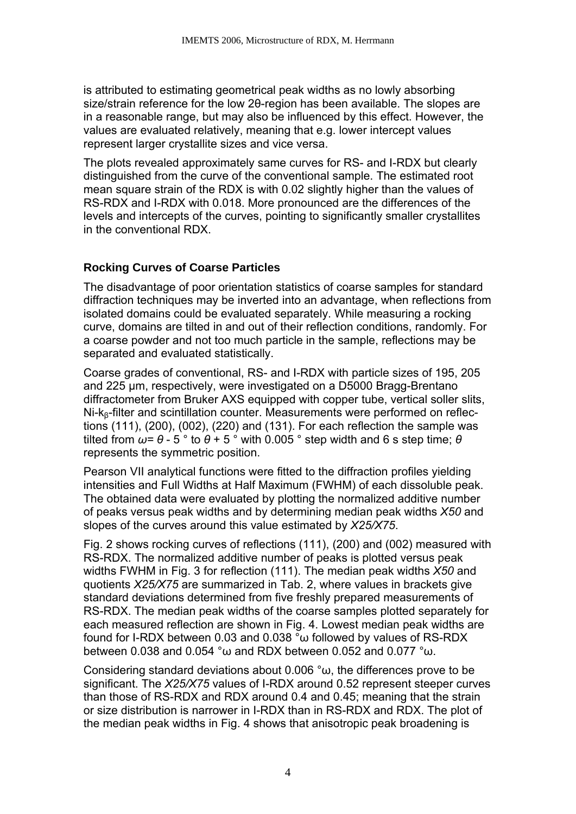is attributed to estimating geometrical peak widths as no lowly absorbing size/strain reference for the low 2θ-region has been available. The slopes are in a reasonable range, but may also be influenced by this effect. However, the values are evaluated relatively, meaning that e.g. lower intercept values represent larger crystallite sizes and vice versa.

The plots revealed approximately same curves for RS- and I-RDX but clearly distinguished from the curve of the conventional sample. The estimated root mean square strain of the RDX is with 0.02 slightly higher than the values of RS-RDX and I-RDX with 0.018. More pronounced are the differences of the levels and intercepts of the curves, pointing to significantly smaller crystallites in the conventional RDX.

# **Rocking Curves of Coarse Particles**

The disadvantage of poor orientation statistics of coarse samples for standard diffraction techniques may be inverted into an advantage, when reflections from isolated domains could be evaluated separately. While measuring a rocking curve, domains are tilted in and out of their reflection conditions, randomly. For a coarse powder and not too much particle in the sample, reflections may be separated and evaluated statistically.

Coarse grades of conventional, RS- and I-RDX with particle sizes of 195, 205 and 225 µm, respectively, were investigated on a D5000 Bragg-Brentano diffractometer from Bruker AXS equipped with copper tube, vertical soller slits, Ni-kβ-filter and scintillation counter. Measurements were performed on reflections (111), (200), (002), (220) and (131). For each reflection the sample was tilted from  $ω=θ-5°$  to  $θ+5°$  with 0.005° step width and 6 s step time;  $θ$ represents the symmetric position.

Pearson VII analytical functions were fitted to the diffraction profiles yielding intensities and Full Widths at Half Maximum (FWHM) of each dissoluble peak. The obtained data were evaluated by plotting the normalized additive number of peaks versus peak widths and by determining median peak widths *X50* and slopes of the curves around this value estimated by *X25/X75*.

Fig. 2 shows rocking curves of reflections (111), (200) and (002) measured with RS-RDX. The normalized additive number of peaks is plotted versus peak widths FWHM in Fig. 3 for reflection (111). The median peak widths *X50* and quotients *X25/X75* are summarized in Tab. 2, where values in brackets give standard deviations determined from five freshly prepared measurements of RS-RDX. The median peak widths of the coarse samples plotted separately for each measured reflection are shown in Fig. 4. Lowest median peak widths are found for I-RDX between 0.03 and 0.038 °ω followed by values of RS-RDX between 0.038 and 0.054 °ω and RDX between 0.052 and 0.077 °ω.

Considering standard deviations about 0.006 °ω, the differences prove to be significant. The *X25/X75* values of I-RDX around 0.52 represent steeper curves than those of RS-RDX and RDX around 0.4 and 0.45; meaning that the strain or size distribution is narrower in I-RDX than in RS-RDX and RDX. The plot of the median peak widths in Fig. 4 shows that anisotropic peak broadening is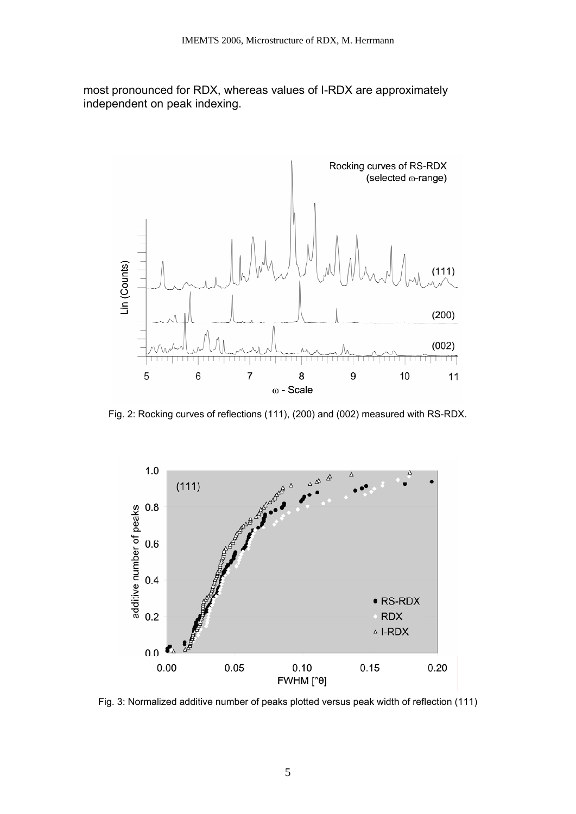most pronounced for RDX, whereas values of I-RDX are approximately independent on peak indexing.



Fig. 2: Rocking curves of reflections (111), (200) and (002) measured with RS-RDX.



Fig. 3: Normalized additive number of peaks plotted versus peak width of reflection (111)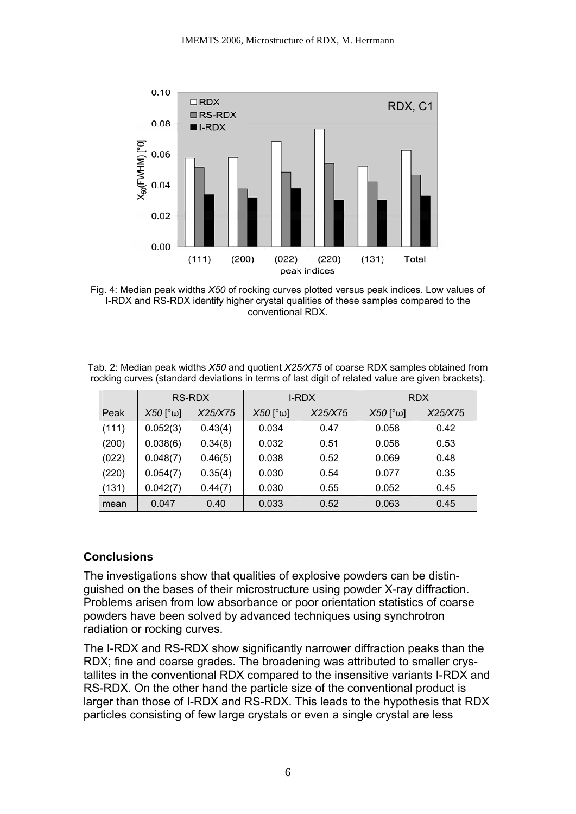

Fig. 4: Median peak widths *X50* of rocking curves plotted versus peak indices. Low values of I-RDX and RS-RDX identify higher crystal qualities of these samples compared to the conventional RDX.

Tab. 2: Median peak widths *X50* and quotient *X25/X75* of coarse RDX samples obtained from rocking curves (standard deviations in terms of last digit of related value are given brackets).

|       | RS-RDX                |         | I-RDX                 |         | <b>RDX</b>            |         |
|-------|-----------------------|---------|-----------------------|---------|-----------------------|---------|
| Peak  | $X50$ [ $^{\circ}$ W] | X25/X75 | $X50$ [ $^{\circ}$ W] | X25/X75 | $X50$ [ $^{\circ}$ W] | X25/X75 |
| (111) | 0.052(3)              | 0.43(4) | 0.034                 | 0.47    | 0.058                 | 0.42    |
| (200) | 0.038(6)              | 0.34(8) | 0.032                 | 0.51    | 0.058                 | 0.53    |
| (022) | 0.048(7)              | 0.46(5) | 0.038                 | 0.52    | 0.069                 | 0.48    |
| (220) | 0.054(7)              | 0.35(4) | 0.030                 | 0.54    | 0.077                 | 0.35    |
| (131) | 0.042(7)              | 0.44(7) | 0.030                 | 0.55    | 0.052                 | 0.45    |
| mean  | 0.047                 | 0.40    | 0.033                 | 0.52    | 0.063                 | 0.45    |

#### **Conclusions**

The investigations show that qualities of explosive powders can be distinguished on the bases of their microstructure using powder X-ray diffraction. Problems arisen from low absorbance or poor orientation statistics of coarse powders have been solved by advanced techniques using synchrotron radiation or rocking curves.

The I-RDX and RS-RDX show significantly narrower diffraction peaks than the RDX; fine and coarse grades. The broadening was attributed to smaller crystallites in the conventional RDX compared to the insensitive variants I-RDX and RS-RDX. On the other hand the particle size of the conventional product is larger than those of I-RDX and RS-RDX. This leads to the hypothesis that RDX particles consisting of few large crystals or even a single crystal are less